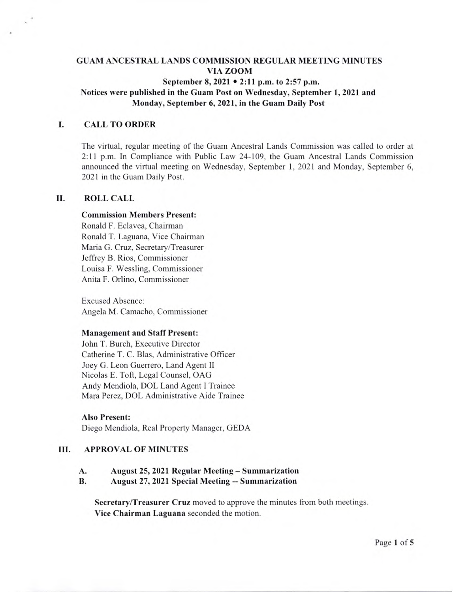# GUAM ANCESTRAL **LANDS COMMISSION** REGULAR MEETING **MINUTES VIA ZOOM**

**September 8, 2021** • **2:11 p.m. to** 2:57 **p.m.** 

# Notices were **published in the Guam Post on Wednesday, September 1,** 2021 and **Monday, September 6, 2021, in the Guam Daily Post**

#### **I. CALL TO ORDER**

The virtual, regular meeting of the Guam Ancestral Lands Commission was called to order at 2:11 p.m. In Compliance with Public Law 24-109, the Guam Ancestral Lands Commission announced the virtual meeting on Wednesday, September 1, 2021 and Monday, September 6, 2021 in the Guam Daily Post.

#### **II. ROLL** CALL

#### **Commission Members Present:**

Ronald F. Eclavea, Chairman Ronald T. Laguana, Vice Chairman Maria G. Cruz, Secretary/Treasurer Jeffrey B. Rios, Commissioner Louisa F. Wessling, Commissioner Anita F. Orlino, Commissioner

Excused Absence: Angela M. Camacho, Commissioner

#### **Management and** *Staff* **Present:**

John T. Burch, Executive Director Catherine T. C. Bias, Administrative Officer Joey G. Leon Guerrero, Land Agent II Nicolas E. Toft, Legal Counsel, OAG Andy Mendiola, DOL Land Agent I Trainee Mara Perez, DOL Administrative Aide Trainee

**Also Present:**  Diego Mendiola, Real Property Manager, GEDA

### Ill. **APPROVAL OF MINUTES**

A. August 25, 2021 Regular Meeting - Summarization

#### B. August 27, 2021 Special Meeting -- Summarization

**Secretary/Treasurer Cruz** moved to approve the minutes from both meetings. Vice Chairman Laguana seconded the motion.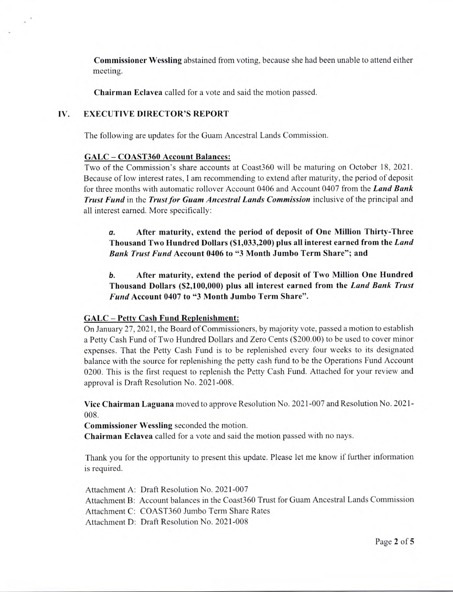Commissioner Wessling abstained from voting, because she had been unable to attend either meeting.

Chairman Eclavea called for a vote and said the motion passed.

### **IV. EXECUTIVE DIRECTOR'S REPORT**

The following are updates for the Guam Ancestral Lands Commission.

#### **GALC - COAST360 Account Balances:**

Two of the Commission's share accounts at Coast360 will be maturing on October 18, 2021. Because of low interest rates, I am recommending to extend after maturity, the period of deposit for three months with automatic rollover Account 0406 and Account 0407 from the *Land Bank Trust Fund* in the *Trust for Guam Ancestral Lands Commission* inclusive of the principal and all interest earned. More specifically:

**a. After** maturity, **extend the period of deposit of One Million** Thirty **-Three Thousand Two Hundred Dollars (\$1,033,200) plus all interest earned** from the *Laud*  Bank Trust Fund Account 0406 to "3 Month Jumbo Term Share"; and

**b. After maturity, extend the** period of deposit of Two **Million One Hundred Thousand Dollars (\$2,100,000)** plus all interest **earned from the** *Land Bank Trust Fund* Account 0407 to "3 Month Jumbo Term Share".

#### **GALC - Petty Cash Fund Replenishment:**

On January 27,2021, the Board of Commissioners, by majority vote, passed a motion to establish a Petty Cash Fund of Two Hundred Dollars and Zero Cents (\$200.00) to be used to cover minor expenses. That the Petty Cash Fund is to be replenished every four weeks to its designated balance with the source for replenishing the petty cash fund to be the Operations Fund Account 0200. This is the first request to replenish the Petty Cash Fund. Attached for your review and approval is Draft Resolution No. 2021-008.

Vice Chairman Laguana moved to approve Resolution No. 2021-007 and Resolution No. 2021- 008.

Commissioner **Wessling** seconded the motion.

Chairman Eclavea called for a vote and said the motion passed with no nays.

Thank you for the opportunity to present this update. Please let me know if further information is required.

Attachment A: Draft Resolution No. 2021-007 Attachment B: Account balances in the Coast360 Trust for Guam Ancestral Lands Commission Attachment C: COAST360 Jumbo Term Share Rates Attachment D: Draft Resolution No. 2021-008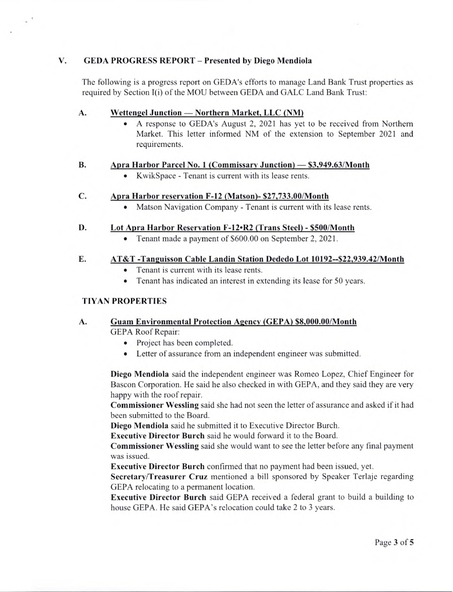### V. **GEDA PROGRESS REPORT** - Presented by Diego Mendiola

The following is a progress report on GEDA's efforts to manage Land Bank Trust properties as required by Section 1(i) of the MOU between GEDA and GALC Land Bank Trust:

### A. Wettengel Junction — Northern Market, LLC (NM)

• A response to GEDA's August 2, 2021 has yet to be received from Northern Market. This letter informed NM of the extension to September 2021 and requirements.

### **B.** Apra Harbor Parcel No. 1 (Commissary Junction) — \$3,949.63/Month

. KwikSpace - Tenant is current with its lease rents.

### C. Apra Harbor reservation F-12 (Matson)- \$27,733.00/Month

. Matson Navigation Company - Tenant is current with its lease rents.

### D. Lot Apra **Harbor Reservation F-12'R2 (Trans Steel)** - **\$500/Month**

• Tenant made a payment of \$600.00 on September 2, 2021.

### E. AT&T -Tanguisson Cable Landin Station Dededo Lot 10192--\$22,939.42/Month

- Tenant is current with its lease rents.<br>• Tenant has indicated an interest in ex
- Tenant has indicated an interest in extending its lease for 50 years.

# TIYAN **PROPERTIES**

# A. **Guam Environmental Protection Agency (GEPA) \$8,000.00/Month**

GEPA Roof Repair:

- Project has been completed.
- Letter of assurance from an independent engineer was submitted.

**Diego Mendiola** said the independent engineer was Romeo Lopez, Chief Engineer for Bascon Corporation. He said he also checked in with GEPA, and they said they are very happy with the roof repair.

**Commissioner Wessling** said she had not seen the letter of assurance and asked if it had been submitted to the Board.

**Diego Mendiola** said he submitted it to Executive Director Burch.

**Executive Director Burch** said he would forward it to the Board.

**Commissioner Wessling** said she would want to see the letter before any final payment was issued.

**Executive Director Burch** confirmed that no payment had been issued, yet.

**Secretary/Treasurer Cruz** mentioned a bill sponsored by Speaker Terlaje regarding GEPA relocating to a permanent location.

**Executive Director** Burch said GEPA received a federal grant to build a building to house GEPA. He said GEPA's relocation could take 2 to 3 years.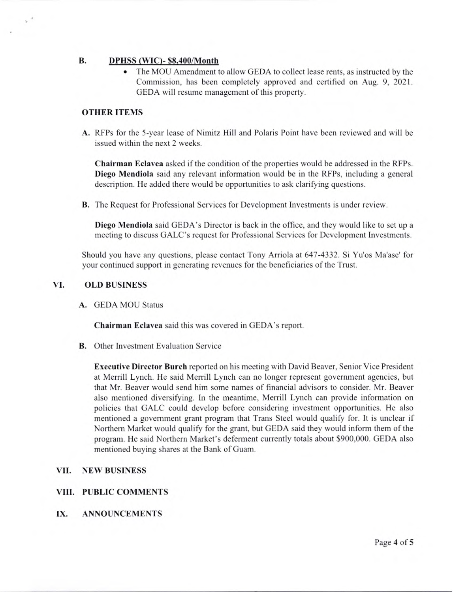## **B. DPHSS (WIC)- \$8,400/Month**

The MOU Amendment to allow GEDA to collect lease rents, as instructed by the Commission, has been completely approved and certified on Aug. 9, 2021. GEDA will resume management of this property.

#### OTHER ITEMS

A. RFPs for the 5-year lease of Nimitz Hill and Polaris Point have been reviewed and will be issued within the next 2 weeks.

**Chairman Eclavea** asked if the condition of the properties would be addressed in the RFPs. **Diego Mendiola** said any relevant information would be in the RFPs, including a general description. He added there would be opportunities to ask clarifying questions.

B. The Request for Professional Services for Development Investments is under review.

Diego Mendiola said GEDA's Director is back in the office, and they would like to set up a meeting to discuss GALC's request for Professional Services for Development Investments.

Should you have any questions, please contact Tony Arriola at 647-4332. Si Yu'os Ma'ase' for your continued support in generating revenues for the beneficiaries of the Trust.

#### VI. **OLD BUSINESS**

A. GEDA MOU Status

Chairman Eclavea said this was covered in GEDA's report.

B. Other Investment Evaluation Service

**Executive Director Burch** reported on his meeting with David Beaver, Senior Vice President at Merrill Lynch. He said Merrill Lynch can no longer represent government agencies, but that Mr. Beaver would send him some names of financial advisors to consider. Mr. Beaver also mentioned diversifying. In the meantime, Merrill Lynch can provide information on policies that GALC could develop before considering investment opportunities. He also mentioned a government grant program that Trans Steel would qualify for. It is unclear if Northern Market would qualify for the grant, but GEDA said they would inform them of the program. He said Northern Market's deferment currently totals about \$900,000. GEDA also mentioned buying shares at the Bank of Guam.

#### **VII. NEW BUSINESS**

#### VIII. PUBLIC COMMENTS

IX. ANNOUNCEMENTS